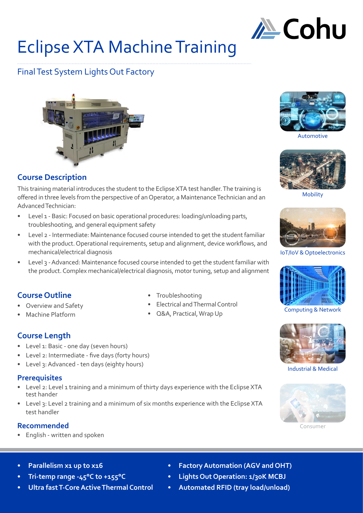

# Eclipse XTA Machine Training

# Final Test System Lights Out Factory



# **Course Description**

This training material introduces the student to the Eclipse XTA test handler. The training is offered in three levels from the perspective of an Operator, a Maintenance Technician and an Advanced Technician:

- Level 1 Basic: Focused on basic operational procedures: loading/unloading parts, troubleshooting, and general equipment safety
- Level 2 Intermediate: Maintenance focused course intended to get the student familiar with the product. Operational requirements, setup and alignment, device workflows, and mechanical/electrical diagnosis
- Level 3 Advanced: Maintenance focused course intended to get the student familiar with the product. Complex mechanical/electrical diagnosis, motor tuning, setup and alignment

# **Course Outline**

- Overview and Safety
- Machine Platform
- - Q&A, Practical, Wrap Up

# **Course Length**

- Level 1: Basic one day (seven hours)
- Level 2: Intermediate five days (forty hours)
- Level 3: Advanced ten days (eighty hours)

### **Prerequisites**

- Level 2: Level 1 training and a minimum of thirty days experience with the Eclipse XTA test hander
- Level 3: Level 2 training and a minimum of six months experience with the Eclipse XTA test handler

### **Recommended**

• English - written and spoken



Automotive



Mobility



IoT/IoV & Optoelectronics



Computing & Network



Industrial & Medical



Consumer

- **Parallelism x1 up to x16**
- **• Tri-temp range -45°C to +155°C**
- **• Ultra fast T-Core Active Thermal Control**
- **• Factory Automation (AGV and OHT)**
- **• Lights Out Operation: 1/30K MCBJ**
- **• Automated RFID (tray load/unload)**
- 
- Troubleshooting • Electrical and Thermal Control
	-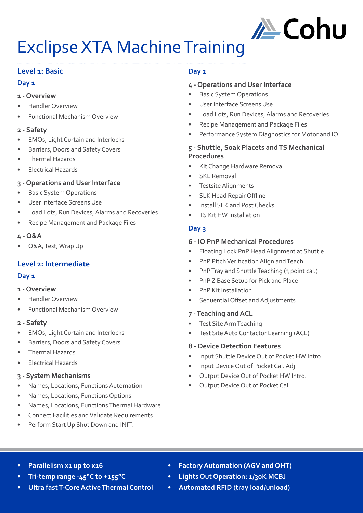

# Exclipse XTA Machine Training

# **Level 1: Basic**

### **Day 1**

### **1 - Overview**

- Handler Overview
- Functional Mechanism Overview

### **2 - Safety**

- EMOs, Light Curtain and Interlocks
- Barriers, Doors and Safety Covers
- Thermal Hazards
- Electrical Hazards

# **3 - Operations and User Interface**

- **Basic System Operations**
- User Interface Screens Use
- Load Lots, Run Devices, Alarms and Recoveries
- Recipe Management and Package Files

### **4 - Q&A**

• Q&A, Test, Wrap Up

# **Level 2: Intermediate**

# **Day 1**

- **1 Overview**
- Handler Overview
- Functional Mechanism Overview

# **2 - Safety**

- EMOs, Light Curtain and Interlocks
- Barriers, Doors and Safety Covers
- Thermal Hazards
- Electrical Hazards

# **3 - System Mechanisms**

- Names, Locations, Functions Automation
- Names, Locations, Functions Options
- Names, Locations, Functions Thermal Hardware
- Connect Facilities and Validate Requirements
- Perform Start Up Shut Down and INIT.

# **Day 2**

# **4 - Operations and User Interface**

- **Basic System Operations**
- User Interface Screens Use
- Load Lots, Run Devices, Alarms and Recoveries
- Recipe Management and Package Files
- Performance System Diagnostics for Motor and IO

### **5 - Shuttle, Soak Placets and TS Mechanical Procedures**

- Kit Change Hardware Removal
- SKL Removal
- Testsite Alignments
- SLK Head Repair Offline
- Install SLK and Post Checks
- TS Kit HW Installation

# **Day 3**

### **6 - IO PnP Mechanical Procedures**

- Floating Lock PnP Head Alignment at Shuttle
- PnP Pitch Verification Align and Teach
- PnP Tray and Shuttle Teaching (3 point cal.)
- PnP Z Base Setup for Pick and Place
- PnP Kit Installation
- Sequential Offset and Adjustments
- **7 Teaching and ACL**
- Test Site Arm Teaching
- Test Site Auto Contactor Learning (ACL)

# **8 - Device Detection Features**

- Input Shuttle Device Out of Pocket HW Intro.
- Input Device Out of Pocket Cal. Adj.
- Output Device Out of Pocket HW Intro.
- Output Device Out of Pocket Cal.

- **Parallelism x1 up to x16**
- **• Tri-temp range -45°C to +155°C**
- **• Ultra fast T-Core Active Thermal Control**
- **• Factory Automation (AGV and OHT)**
- **• Lights Out Operation: 1/30K MCBJ**
- **• Automated RFID (tray load/unload)**